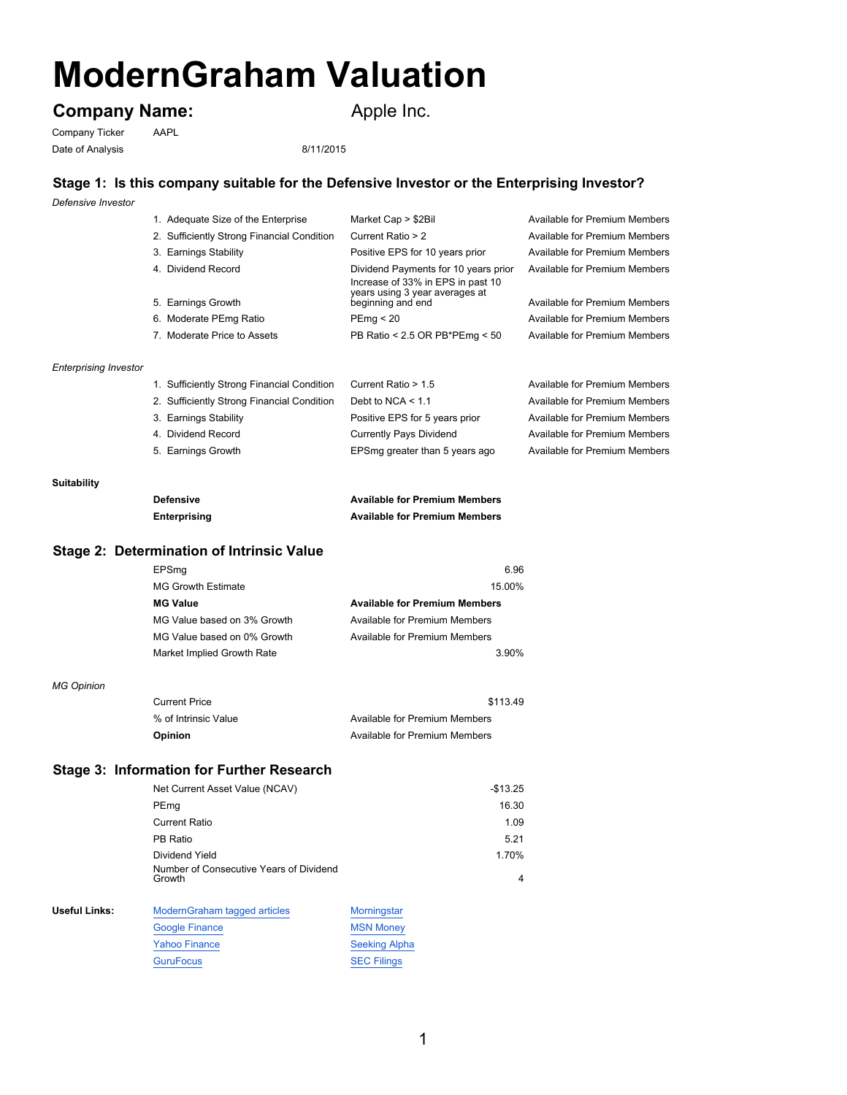# **ModernGraham Valuation**

## **Company Name:** Apple Inc.

Company Ticker AAPL Date of Analysis 8/11/2015

## **Stage 1: Is this company suitable for the Defensive Investor or the Enterprising Investor?**

*Defensive Investor*

|                              | 1. Adequate Size of the Enterprise         | Market Cap > \$2Bil                                                                                         | Available for Premium Members |
|------------------------------|--------------------------------------------|-------------------------------------------------------------------------------------------------------------|-------------------------------|
|                              | 2. Sufficiently Strong Financial Condition | Current Ratio > 2                                                                                           | Available for Premium Members |
|                              | 3. Earnings Stability                      | Positive EPS for 10 years prior                                                                             | Available for Premium Members |
|                              | 4. Dividend Record                         | Dividend Payments for 10 years prior<br>Increase of 33% in EPS in past 10<br>years using 3 year averages at | Available for Premium Members |
|                              | 5. Earnings Growth                         | beginning and end                                                                                           | Available for Premium Members |
|                              | 6. Moderate PEmg Ratio                     | PEmq < 20                                                                                                   | Available for Premium Members |
|                              | 7. Moderate Price to Assets                | PB Ratio < 2.5 OR PB*PEmg < 50                                                                              | Available for Premium Members |
| <b>Enterprising Investor</b> |                                            |                                                                                                             |                               |

| 1. Sufficiently Strong Financial Condition | Current Ratio > 1.5            | Available for Premium Members |
|--------------------------------------------|--------------------------------|-------------------------------|
| 2. Sufficiently Strong Financial Condition | Debt to NCA $<$ 1.1            | Available for Premium Members |
| 3. Earnings Stability                      | Positive EPS for 5 years prior | Available for Premium Members |
| 4. Dividend Record                         | <b>Currently Pays Dividend</b> | Available for Premium Members |
| 5. Earnings Growth                         | EPSmg greater than 5 years ago | Available for Premium Members |
|                                            |                                |                               |

#### **Suitability**

| <b>Defensive</b> | <b>Available for Premium Members</b> |
|------------------|--------------------------------------|
| Enterprising     | <b>Available for Premium Members</b> |

## **Stage 2: Determination of Intrinsic Value**

| EPSmq                       | 6.96                                 |
|-----------------------------|--------------------------------------|
| <b>MG Growth Estimate</b>   | 15.00%                               |
| <b>MG Value</b>             | <b>Available for Premium Members</b> |
| MG Value based on 3% Growth | Available for Premium Members        |
| MG Value based on 0% Growth | Available for Premium Members        |
| Market Implied Growth Rate  | 3.90%                                |

#### *MG Opinion*

| <b>Current Price</b> | \$113.49                      |
|----------------------|-------------------------------|
| % of Intrinsic Value | Available for Premium Members |
| <b>Opinion</b>       | Available for Premium Members |

### **Stage 3: Information for Further Research**

| $-$ \$13.25 |
|-------------|
| 16.30       |
| 1.09        |
| 5.21        |
| 1.70%       |
| 4           |
|             |

| Useful Links: | Modern Graham tagged articles | Morningstar          |
|---------------|-------------------------------|----------------------|
|               | <b>Google Finance</b>         | <b>MSN Money</b>     |
|               | <b>Yahoo Finance</b>          | <b>Seeking Alpha</b> |
|               | <b>GuruFocus</b>              | <b>SEC Filings</b>   |